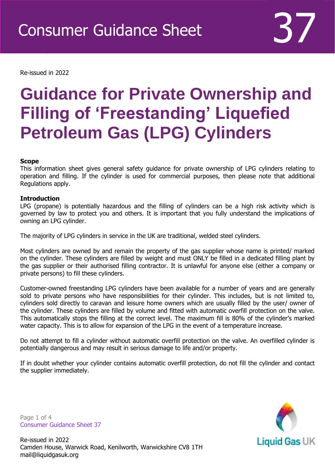Re-issued in 2022

Revised April 2016

## **Guidance for Private Ownership and Filling of 'Freestanding' Liquefied Petroleum Gas (LPG) Cylinders**

### **Scope**

This information sheet gives general safety guidance for private ownership of LPG cylinders relating to operation and filling. If the cylinder is used for commercial purposes, then please note that additional Regulations apply.

### **Introduction**

LPG (propane) is potentially hazardous and the filling of cylinders can be a high risk activity which is governed by law to protect you and others. It is important that you fully understand the implications of owning an LPG cylinder.

The majority of LPG cylinders in service in the UK are traditional, welded steel cylinders.

Most cylinders are owned by and remain the property of the gas supplier whose name is printed/ marked on the cylinder. These cylinders are filled by weight and must ONLY be filled in a dedicated filling plant by the gas supplier or their authorised filling contractor. It is unlawful for anyone else (either a company or private persons) to fill these cylinders.

Customer-owned freestanding LPG cylinders have been available for a number of years and are generally sold to private persons who have responsibilities for their cylinder. This includes, but is not limited to, cylinders sold directly to caravan and leisure home owners which are usually filled by the user/ owner of the cylinder. These cylinders are filled by volume and fitted with automatic overfill protection on the valve. This automatically stops the filling at the correct level. The maximum fill is 80% of the cylinder's marked water capacity. This is to allow for expansion of the LPG in the event of a temperature increase.

Do not attempt to fill a cylinder without automatic overfill protection on the valve. An overfilled cylinder is potentially dangerous and may result in serious damage to life and/or property.

If in doubt whether your cylinder contains automatic overfill protection, do not fill the cylinder and contact the supplier immediately.

Page 1 of 4 Consumer Guidance Sheet 37

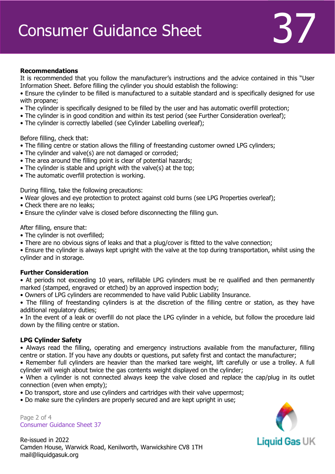### **Recommendations**

It is recommended that you follow the manufacturer's instructions and the advice contained in this "User Information Sheet. Before filling the cylinder you should establish the following:

- Ensure the cylinder to be filled is manufactured to a suitable standard and is specifically designed for use with propane;
- The cylinder is specifically designed to be filled by the user and has automatic overfill protection;
- The cylinder is in good condition and within its test period (see Further Consideration overleaf);
- The cylinder is correctly labelled (see Cylinder Labelling overleaf);

### Before filling, check that:

- The filling centre or station allows the filling of freestanding customer owned LPG cylinders;
- The cylinder and valve(s) are not damaged or corroded;
- The area around the filling point is clear of potential hazards;
- The cylinder is stable and upright with the valve(s) at the top;
- The automatic overfill protection is working.

During filling, take the following precautions:

- Wear gloves and eye protection to protect against cold burns (see LPG Properties overleaf);
- Check there are no leaks;
- Ensure the cylinder valve is closed before disconnecting the filling gun.

After filling, ensure that:

- The cylinder is not overfilled;
- There are no obvious signs of leaks and that a plug/cover is fitted to the valve connection;

• Ensure the cylinder is always kept upright with the valve at the top during transportation, whilst using the cylinder and in storage.

### **Further Consideration**

• At periods not exceeding 10 years, refillable LPG cylinders must be re qualified and then permanently marked (stamped, engraved or etched) by an approved inspection body;

• Owners of LPG cylinders are recommended to have valid Public Liability Insurance.

• The filling of freestanding cylinders is at the discretion of the filling centre or station, as they have additional regulatory duties;

• In the event of a leak or overfill do not place the LPG cylinder in a vehicle, but follow the procedure laid down by the filling centre or station.

### **LPG Cylinder Safety**

• Always read the filling, operating and emergency instructions available from the manufacturer, filling centre or station. If you have any doubts or questions, put safety first and contact the manufacturer;

• Remember full cylinders are heavier than the marked tare weight, lift carefully or use a trolley. A full cylinder will weigh about twice the gas contents weight displayed on the cylinder;

• When a cylinder is not connected always keep the valve closed and replace the cap/plug in its outlet connection (even when empty);

• Do transport, store and use cylinders and cartridges with their valve uppermost;

• Do make sure the cylinders are properly secured and are kept upright in use;

Page 2 of 4 Consumer Guidance Sheet 37

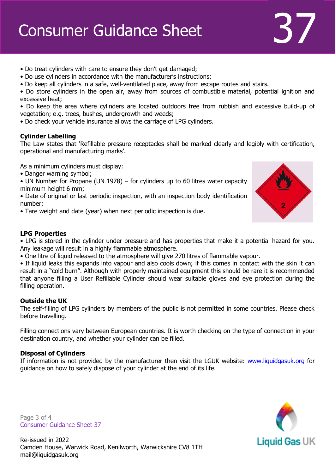# Consumer Guidance Sheet 37

- Do treat cylinders with care to ensure they don't get damaged;
- Do use cylinders in accordance with the manufacturer's instructions;
- Do keep all cylinders in a safe, well-ventilated place, away from escape routes and stairs.
- Do store cylinders in the open air, away from sources of combustible material, potential ignition and excessive heat;

• Do keep the area where cylinders are located outdoors free from rubbish and excessive build-up of vegetation; e.g. trees, bushes, undergrowth and weeds;

• Do check your vehicle insurance allows the carriage of LPG cylinders.

### **Cylinder Labelling**

The Law states that 'Refillable pressure receptacles shall be marked clearly and legibly with certification, operational and manufacturing marks'.

As a minimum cylinders must display:

- Danger warning symbol;
- UN Number for Propane (UN 1978) for cylinders up to 60 litres water capacity minimum height 6 mm;
- Date of original or last periodic inspection, with an inspection body identification number;
- Tare weight and date (year) when next periodic inspection is due.

### **LPG Properties**

• LPG is stored in the cylinder under pressure and has properties that make it a potential hazard for you. Any leakage will result in a highly flammable atmosphere.

• One litre of liquid released to the atmosphere will give 270 litres of flammable vapour.

• If liquid leaks this expands into vapour and also cools down; if this comes in contact with the skin it can result in a "cold burn". Although with properly maintained equipment this should be rare it is recommended that anyone filling a User Refillable Cylinder should wear suitable gloves and eye protection during the filling operation.

### **Outside the UK**

The self-filling of LPG cylinders by members of the public is not permitted in some countries. Please check before travelling.

Filling connections vary between European countries. It is worth checking on the type of connection in your destination country, and whether your cylinder can be filled.

### **Disposal of Cylinders**

If information is not provided by the manufacturer then visit the LGUK website: [www.liquidgasuk.org](http://www.liquidgasuk.org/) for guidance on how to safely dispose of your cylinder at the end of its life.

Page 3 of 4 Consumer Guidance Sheet 37